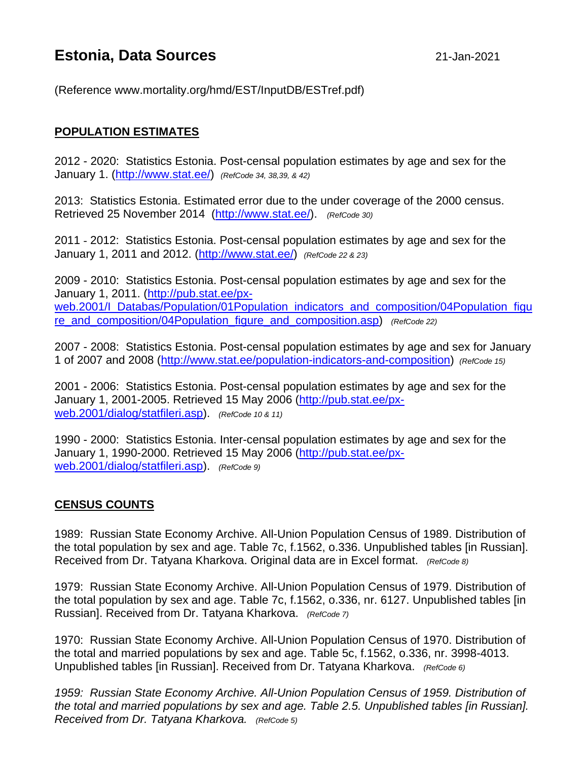# **Estonia, Data Sources** 21-Jan-2021

(Reference www.mortality.org/hmd/EST/InputDB/ESTref.pdf)

## **POPULATION ESTIMATES**

2012 - 2020: Statistics Estonia. Post-censal population estimates by age and sex for the January 1. [\(http://www.stat.ee/\)](http://www.stat.ee/) *(RefCode 34, 38,39, & 42)*

2013: Statistics Estonia. Estimated error due to the under coverage of the 2000 census. Retrieved 25 November 2014 [\(http://www.stat.ee/\)](http://www.stat.ee/). *(RefCode 30)*

2011 - 2012: Statistics Estonia. Post-censal population estimates by age and sex for the January 1, 2011 and 2012. [\(http://www.stat.ee/\)](http://www.stat.ee/) *(RefCode 22 & 23)*

2009 - 2010: Statistics Estonia. Post-censal population estimates by age and sex for the January 1, 2011. [\(http://pub.stat.ee/px](http://pub.stat.ee/px-web.2001/I_Databas/Population/01Population_indicators_and_composition/04Population_figure_and_composition/04Population_figure_and_composition.asp)web.2001/Latabas/Population/01Population\_indicators\_and\_composition/04Population\_figu [re\\_and\\_composition/04Population\\_figure\\_and\\_composition.asp\)](http://pub.stat.ee/px-web.2001/I_Databas/Population/01Population_indicators_and_composition/04Population_figure_and_composition/04Population_figure_and_composition.asp) *(RefCode 22)*

2007 - 2008: Statistics Estonia. Post-censal population estimates by age and sex for January 1 of 2007 and 2008 [\(http://www.stat.ee/population-indicators-and-composition\)](http://www.stat.ee/population-indicators-and-composition) *(RefCode 15)*

2001 - 2006: Statistics Estonia. Post-censal population estimates by age and sex for the January 1, 2001-2005. Retrieved 15 May 2006 [\(http://pub.stat.ee/px](http://pub.stat.ee/px-web.2001/dialog/statfileri.asp)[web.2001/dialog/statfileri.asp\)](http://pub.stat.ee/px-web.2001/dialog/statfileri.asp). *(RefCode 10 & 11)*

1990 - 2000: Statistics Estonia. Inter-censal population estimates by age and sex for the January 1, 1990-2000. Retrieved 15 May 2006 [\(http://pub.stat.ee/px](http://pub.stat.ee/px-web.2001/dialog/statfileri.asp)[web.2001/dialog/statfileri.asp\)](http://pub.stat.ee/px-web.2001/dialog/statfileri.asp). *(RefCode 9)*

#### **CENSUS COUNTS**

1989: Russian State Economy Archive. All-Union Population Census of 1989. Distribution of the total population by sex and age. Table 7c, f.1562, o.336. Unpublished tables [in Russian]. Received from Dr. Tatyana Kharkova. Original data are in Excel format. *(RefCode 8)*

1979: Russian State Economy Archive. All-Union Population Census of 1979. Distribution of the total population by sex and age. Table 7c, f.1562, o.336, nr. 6127. Unpublished tables [in Russian]. Received from Dr. Tatyana Kharkova. *(RefCode 7)*

1970: Russian State Economy Archive. All-Union Population Census of 1970. Distribution of the total and married populations by sex and age. Table 5c, f.1562, o.336, nr. 3998-4013. Unpublished tables [in Russian]. Received from Dr. Tatyana Kharkova. *(RefCode 6)*

*1959: Russian State Economy Archive. All-Union Population Census of 1959. Distribution of the total and married populations by sex and age. Table 2.5. Unpublished tables [in Russian]. Received from Dr. Tatyana Kharkova. (RefCode 5)*